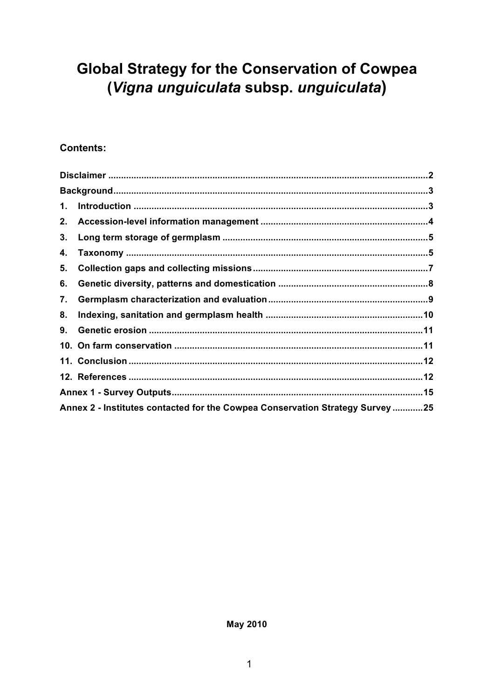# **Global Strategy for the Conservation of Cowpea** (Vigna unguiculata subsp. unguiculata)

#### **Contents:**

| 1. |                                                                               |  |
|----|-------------------------------------------------------------------------------|--|
| 2. |                                                                               |  |
| 3. |                                                                               |  |
| 4. |                                                                               |  |
| 5. |                                                                               |  |
| 6. |                                                                               |  |
| 7. |                                                                               |  |
| 8. |                                                                               |  |
| 9. |                                                                               |  |
|    |                                                                               |  |
|    |                                                                               |  |
|    |                                                                               |  |
|    |                                                                               |  |
|    | Annex 2 - Institutes contacted for the Cowpea Conservation Strategy Survey 25 |  |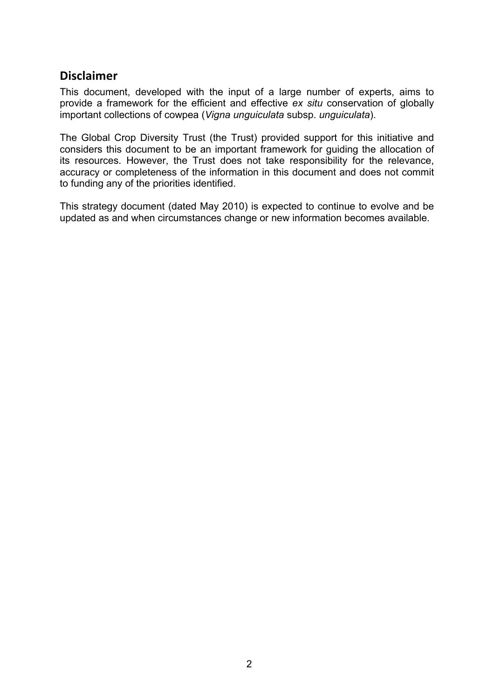### **Disclaimer**

This document, developed with the input of a large number of experts, aims to provide a framework for the efficient and effective *ex situ* conservation of globally important collections of cowpea (*Vigna unguiculata* subsp. *unguiculata*).

The Global Crop Diversity Trust (the Trust) provided support for this initiative and considers this document to be an important framework for guiding the allocation of its resources. However, the Trust does not take responsibility for the relevance, accuracy or completeness of the information in this document and does not commit to funding any of the priorities identified.

This strategy document (dated May 2010) is expected to continue to evolve and be updated as and when circumstances change or new information becomes available.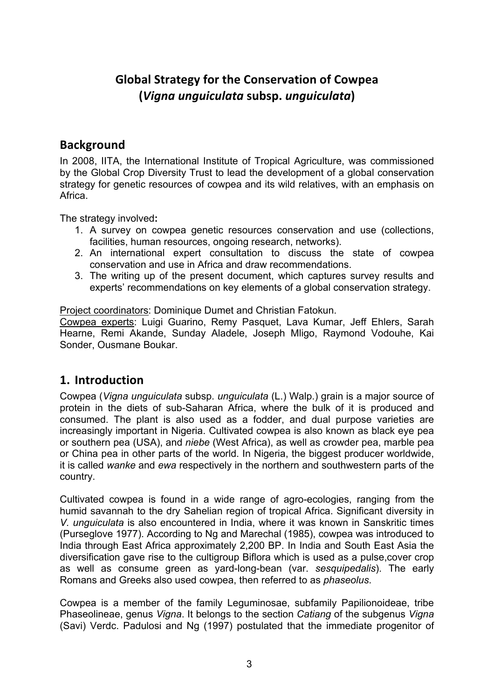## **Global
Strategy
for
the
Conservation
of
Cowpea (***Vigna
unguiculata* **subsp.***unguiculata***)**

### **Background**

In 2008, IITA, the International Institute of Tropical Agriculture, was commissioned by the Global Crop Diversity Trust to lead the development of a global conservation strategy for genetic resources of cowpea and its wild relatives, with an emphasis on Africa.

The strategy involved**:** 

- 1. A survey on cowpea genetic resources conservation and use (collections, facilities, human resources, ongoing research, networks).
- 2. An international expert consultation to discuss the state of cowpea conservation and use in Africa and draw recommendations.
- 3. The writing up of the present document, which captures survey results and experts' recommendations on key elements of a global conservation strategy.

Project coordinators: Dominique Dumet and Christian Fatokun.

Cowpea experts: Luigi Guarino, Remy Pasquet, Lava Kumar, Jeff Ehlers, Sarah Hearne, Remi Akande, Sunday Aladele, Joseph Mligo, Raymond Vodouhe, Kai Sonder, Ousmane Boukar.

### **1. Introduction**

Cowpea (*Vigna unguiculata* subsp. *unguiculata* (L.) Walp.) grain is a major source of protein in the diets of sub-Saharan Africa, where the bulk of it is produced and consumed. The plant is also used as a fodder, and dual purpose varieties are increasingly important in Nigeria. Cultivated cowpea is also known as black eye pea or southern pea (USA), and *niebe* (West Africa), as well as crowder pea, marble pea or China pea in other parts of the world. In Nigeria, the biggest producer worldwide, it is called *wanke* and *ewa* respectively in the northern and southwestern parts of the country.

Cultivated cowpea is found in a wide range of agro-ecologies, ranging from the humid savannah to the dry Sahelian region of tropical Africa. Significant diversity in *V. unguiculata* is also encountered in India, where it was known in Sanskritic times (Purseglove 1977). According to Ng and Marechal (1985), cowpea was introduced to India through East Africa approximately 2,200 BP. In India and South East Asia the diversification gave rise to the cultigroup Biflora which is used as a pulse,cover crop as well as consume green as yard-long-bean (var. *sesquipedalis*). The early Romans and Greeks also used cowpea, then referred to as *phaseolus*.

Cowpea is a member of the family Leguminosae, subfamily Papilionoideae, tribe Phaseolineae, genus *Vigna*. It belongs to the section *Catiang* of the subgenus *Vigna* (Savi) Verdc. Padulosi and Ng (1997) postulated that the immediate progenitor of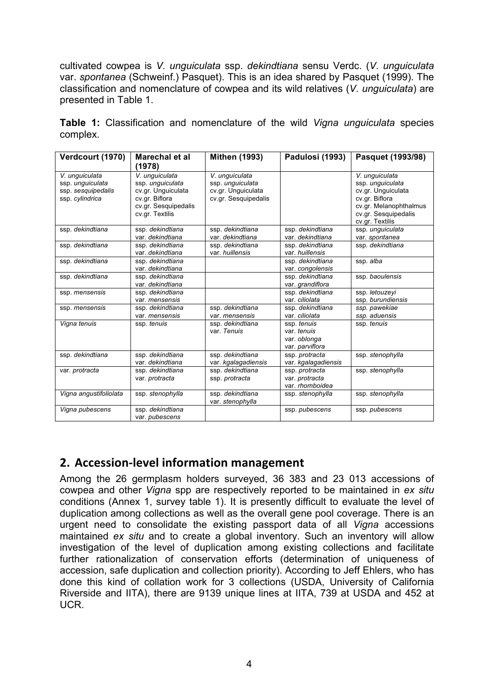cultivated cowpea is *V. unguiculata* ssp. *dekindtiana* sensu Verdc. (*V. unguiculata* var. *spontanea* (Schweinf.) Pasquet). This is an idea shared by Pasquet (1999). The classification and nomenclature of cowpea and its wild relatives (*V. unguiculata*) are presented in Table 1.

|          |  | Table 1: Classification and nomenclature of the wild Vigna unguiculata species |  |  |  |
|----------|--|--------------------------------------------------------------------------------|--|--|--|
| complex. |  |                                                                                |  |  |  |

| Verdcourt (1970)                                                            | <b>Marechal et al</b><br>(1978)                                                                                       | <b>Mithen (1993)</b>                                                             | Padulosi (1993)                                               | Pasquet (1993/98)                                                                                                                               |
|-----------------------------------------------------------------------------|-----------------------------------------------------------------------------------------------------------------------|----------------------------------------------------------------------------------|---------------------------------------------------------------|-------------------------------------------------------------------------------------------------------------------------------------------------|
| V. unguiculata<br>ssp. unguiculata<br>ssp. sesquipedalis<br>ssp. cylindrica | V. unquiculata<br>ssp. unguiculata<br>cv.gr. Unguiculata<br>cv.gr. Biflora<br>cv.gr. Sesquipedalis<br>cv.gr. Textilis | V. unquiculata<br>ssp. unquiculata<br>cv.gr. Unguiculata<br>cv.gr. Sesquipedalis |                                                               | V. unguiculata<br>ssp. unguiculata<br>cv.gr. Unquiculata<br>cv.gr. Biflora<br>cv.gr. Melanophthalmus<br>cv.gr. Sesquipedalis<br>cv.gr. Textilis |
| ssp. dekindtiana                                                            | ssp. dekindtiana<br>var. dekindtiana                                                                                  | ssp. dekindtiana<br>var. dekindtiana                                             | ssp. dekindtiana<br>var. dekindtiana                          | ssp. unguiculata<br>var. spontanea                                                                                                              |
| ssp. dekindtiana                                                            | ssp. dekindtiana<br>var. dekindtiana                                                                                  | ssp. dekindtiana<br>var. huillensis                                              | ssp. dekindtiana<br>var huillensis                            | ssp. dekindtiana                                                                                                                                |
| ssp. dekindtiana                                                            | ssp. dekindtiana<br>var. dekindtiana                                                                                  |                                                                                  | ssp. dekindtiana<br>var. congolensis                          | ssp. alba                                                                                                                                       |
| ssp. dekindtiana                                                            | ssp. dekindtiana<br>var. dekindtiana                                                                                  |                                                                                  | ssp. dekindtiana<br>var. grandiflora                          | ssp. baoulensis                                                                                                                                 |
| ssp. mensensis                                                              | ssp. dekindtiana<br>var. mensensis                                                                                    |                                                                                  | ssp. dekindtiana<br>var. ciliolata                            | ssp. letouzeyi<br>ssp. burundiensis                                                                                                             |
| ssp. mensensis                                                              | ssp. dekindtiana<br>var. mensensis                                                                                    | ssp. dekindtiana<br>var. mensensis                                               | ssp. dekindtiana<br>var. ciliolata                            | ssp. pawekiae<br>ssp. aduensis                                                                                                                  |
| Vigna tenuis                                                                | ssp. tenuis                                                                                                           | ssp. dekindtiana<br>var. Tenuis                                                  | ssp. tenuis<br>var. tenuis<br>var. oblonga<br>var. parviflora | ssp. tenuis                                                                                                                                     |
| ssp. dekindtiana                                                            | ssp. dekindtiana<br>var. dekindtiana                                                                                  | ssp. dekindtiana<br>var. kgalagadiensis                                          | ssp. protracta<br>var. kgalagadiensis                         | ssp. stenophylla                                                                                                                                |
| var. protracta                                                              | ssp. dekindtiana<br>var. protracta                                                                                    | ssp. dekindtiana<br>ssp. protracta                                               | ssp. protracta<br>var. protracta<br>var. rhomboidea           | ssp. stenophylla                                                                                                                                |
| Vigna angustifoliolata                                                      | ssp. stenophylla                                                                                                      | ssp. dekindtiana<br>var. stenophylla                                             | ssp. stenophylla                                              | ssp. stenophylla                                                                                                                                |
| Vigna pubescens                                                             | ssp. dekindtiana<br>var. pubescens                                                                                    |                                                                                  | ssp. pubescens                                                | ssp. pubescens                                                                                                                                  |

### **2. Accession‐level
information
management**

Among the 26 germplasm holders surveyed, 36 383 and 23 013 accessions of cowpea and other *Vigna* spp are respectively reported to be maintained in *ex situ* conditions (Annex 1, survey table 1). It is presently difficult to evaluate the level of duplication among collections as well as the overall gene pool coverage. There is an urgent need to consolidate the existing passport data of all *Vigna* accessions maintained *ex situ* and to create a global inventory. Such an inventory will allow investigation of the level of duplication among existing collections and facilitate further rationalization of conservation efforts (determination of uniqueness of accession, safe duplication and collection priority). According to Jeff Ehlers, who has done this kind of collation work for 3 collections (USDA, University of California Riverside and IITA), there are 9139 unique lines at IITA, 739 at USDA and 452 at UCR.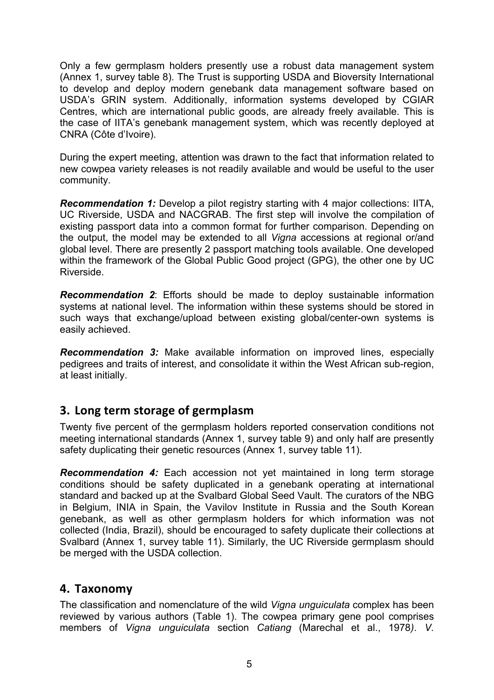Only a few germplasm holders presently use a robust data management system (Annex 1, survey table 8). The Trust is supporting USDA and Bioversity International to develop and deploy modern genebank data management software based on USDA's GRIN system. Additionally, information systems developed by CGIAR Centres, which are international public goods, are already freely available. This is the case of IITA's genebank management system, which was recently deployed at CNRA (Côte d'Ivoire).

During the expert meeting, attention was drawn to the fact that information related to new cowpea variety releases is not readily available and would be useful to the user community.

*Recommendation 1:* Develop a pilot registry starting with 4 major collections: IITA, UC Riverside, USDA and NACGRAB. The first step will involve the compilation of existing passport data into a common format for further comparison. Depending on the output, the model may be extended to all *Vigna* accessions at regional or/and global level. There are presently 2 passport matching tools available. One developed within the framework of the Global Public Good project (GPG), the other one by UC Riverside.

*Recommendation 2*: Efforts should be made to deploy sustainable information systems at national level. The information within these systems should be stored in such ways that exchange/upload between existing global/center-own systems is easily achieved.

*Recommendation 3:* Make available information on improved lines, especially pedigrees and traits of interest, and consolidate it within the West African sub-region, at least initially.

### **3. Long
term
storage
of
germplasm**

Twenty five percent of the germplasm holders reported conservation conditions not meeting international standards (Annex 1, survey table 9) and only half are presently safety duplicating their genetic resources (Annex 1, survey table 11).

*Recommendation 4:* Each accession not yet maintained in long term storage conditions should be safety duplicated in a genebank operating at international standard and backed up at the Svalbard Global Seed Vault. The curators of the NBG in Belgium, INIA in Spain, the Vavilov Institute in Russia and the South Korean genebank, as well as other germplasm holders for which information was not collected (India, Brazil), should be encouraged to safety duplicate their collections at Svalbard (Annex 1, survey table 11). Similarly, the UC Riverside germplasm should be merged with the USDA collection.

### **4. Taxonomy**

The classification and nomenclature of the wild *Vigna unguiculata* complex has been reviewed by various authors (Table 1). The cowpea primary gene pool comprises members of *Vigna unguiculata* section *Catiang* (Marechal et al., 1978*)*. *V.*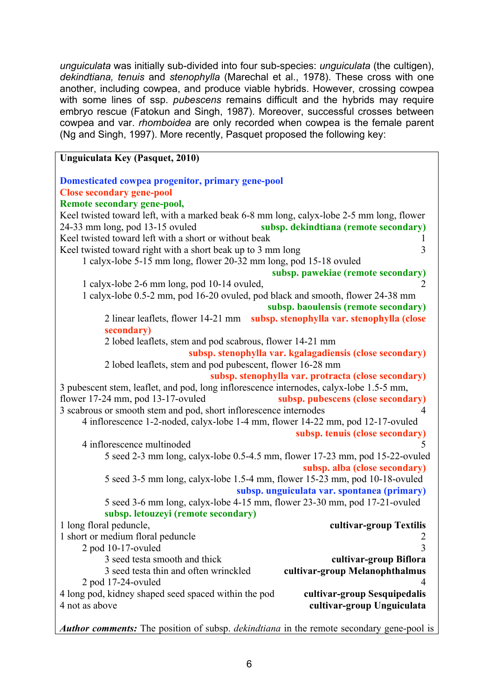*unguiculata* was initially sub-divided into four sub-species: *unguiculata* (the cultigen), *dekindtiana, tenuis* and *stenophylla* (Marechal et al., 1978). These cross with one another, including cowpea, and produce viable hybrids. However, crossing cowpea with some lines of ssp. *pubescens* remains difficult and the hybrids may require embryo rescue (Fatokun and Singh, 1987). Moreover, successful crosses between cowpea and var. *rhomboidea* are only recorded when cowpea is the female parent (Ng and Singh, 1997). More recently, Pasquet proposed the following key:

#### **Unguiculata Key (Pasquet, 2010) Domesticated cowpea progenitor, primary gene-pool Close secondary gene-pool Remote secondary gene-pool,**  Keel twisted toward left, with a marked beak 6-8 mm long, calyx-lobe 2-5 mm long, flower 24-33 mm long, pod 13-15 ovuled **subsp. dekindtiana (remote secondary)**  Keel twisted toward left with a short or without beak 1 Keel twisted toward right with a short beak up to 3 mm long 3 1 calyx-lobe 5-15 mm long, flower 20-32 mm long, pod 15-18 ovuled **subsp. pawekiae (remote secondary)** 1 calyx-lobe 2-6 mm long, pod 10-14 ovuled, 2 1 calyx-lobe 0.5-2 mm, pod 16-20 ovuled, pod black and smooth, flower 24-38 mm **subsp. baoulensis (remote secondary)** 2 linear leaflets, flower 14-21 mm **subsp. stenophylla var. stenophylla (close secondary)**  2 lobed leaflets, stem and pod scabrous, flower 14-21 mm **subsp. stenophylla var. kgalagadiensis (close secondary)** 2 lobed leaflets, stem and pod pubescent, flower 16-28 mm **subsp. stenophylla var. protracta (close secondary)** 3 pubescent stem, leaflet, and pod, long inflorescence internodes, calyx-lobe 1.5-5 mm, flower 17-24 mm, pod 13-17-ovuled **subsp. pubescens (close secondary)** 3 scabrous or smooth stem and pod, short inflorescence internodes 4 4 inflorescence 1-2-noded, calyx-lobe 1-4 mm, flower 14-22 mm, pod 12-17-ovuled **subsp. tenuis (close secondary)** 4 inflorescence multinoded 5 5 seed 2-3 mm long, calyx-lobe 0.5-4.5 mm, flower 17-23 mm, pod 15-22-ovuled **subsp. alba (close secondary)** 5 seed 3-5 mm long, calyx-lobe 1.5-4 mm, flower 15-23 mm, pod 10-18-ovuled **subsp. unguiculata var. spontanea (primary)** 5 seed 3-6 mm long, calyx-lobe 4-15 mm, flower 23-30 mm, pod 17-21-ovuled **subsp. letouzeyi (remote secondary)** 1 long floral peduncle, **cultivar-group Textilis** 1 short or medium floral peduncle 2  $2 \text{ pod } 10-17$ -ovuled  $3$ 3 seed testa smooth and thick **cultivar-group Biflora** 3 seed testa thin and often wrinckled **cultivar-group Melanophthalmus** 2 pod 17-24-ovuled 4 4 long pod, kidney shaped seed spaced within the pod **cultivar-group Sesquipedalis** 4 not as above **cultivar-group Unguiculata**

*Author comments:* The position of subsp. *dekindtiana* in the remote secondary gene-pool is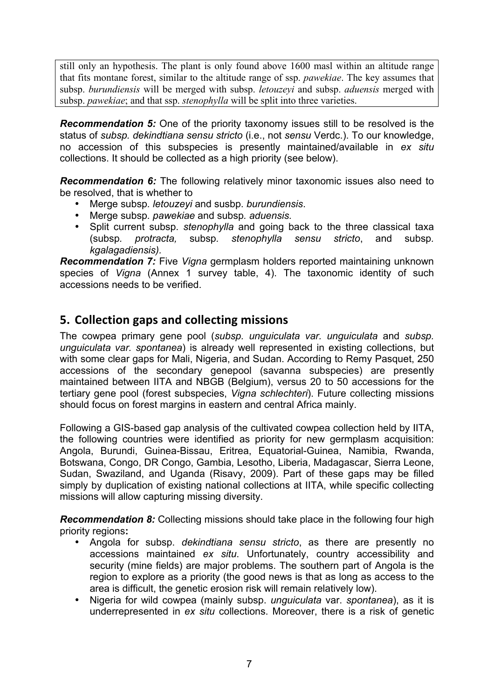still only an hypothesis. The plant is only found above 1600 masl within an altitude range that fits montane forest, similar to the altitude range of ssp. *pawekiae*. The key assumes that subsp. *burundiensis* will be merged with subsp. *letouzeyi* and subsp. *aduensis* merged with subsp. *pawekiae*; and that ssp. *stenophylla* will be split into three varieties.

*Recommendation 5:* One of the priority taxonomy issues still to be resolved is the status of *subsp. dekindtiana sensu stricto* (i.e., not *sensu* Verdc.). To our knowledge, no accession of this subspecies is presently maintained/available in *ex situ* collections. It should be collected as a high priority (see below).

*Recommendation 6:* The following relatively minor taxonomic issues also need to be resolved, that is whether to

- Merge subsp*. letouzeyi* and susbp. *burundiensis*.
- Merge subsp*. pawekiae* and subsp*. aduensis.*
- Split current subsp. *stenophylla* and going back to the three classical taxa (subsp*. protracta,* subsp*. stenophylla sensu stricto*, and subsp*. kgalagadiensis).*

*Recommendation 7:* Five *Vigna* germplasm holders reported maintaining unknown species of *Vigna* (Annex 1 survey table, 4). The taxonomic identity of such accessions needs to be verified.

### **5. Collection
gaps
and
collecting
missions**

The cowpea primary gene pool (*subsp. unguiculata var. unguiculata* and *subsp. unguiculata var. spontanea*) is already well represented in existing collections, but with some clear gaps for Mali, Nigeria, and Sudan. According to Remy Pasquet, 250 accessions of the secondary genepool (savanna subspecies) are presently maintained between IITA and NBGB (Belgium), versus 20 to 50 accessions for the tertiary gene pool (forest subspecies, *Vigna schlechteri*). Future collecting missions should focus on forest margins in eastern and central Africa mainly.

Following a GIS-based gap analysis of the cultivated cowpea collection held by IITA, the following countries were identified as priority for new germplasm acquisition: Angola, Burundi, Guinea-Bissau, Eritrea, Equatorial-Guinea, Namibia, Rwanda, Botswana, Congo, DR Congo, Gambia, Lesotho, Liberia, Madagascar, Sierra Leone, Sudan, Swaziland, and Uganda (Risavy, 2009). Part of these gaps may be filled simply by duplication of existing national collections at IITA, while specific collecting missions will allow capturing missing diversity.

*Recommendation 8:* Collecting missions should take place in the following four high priority regions**:**

- Angola for subsp. *dekindtiana sensu stricto*, as there are presently no accessions maintained *ex situ*. Unfortunately, country accessibility and security (mine fields) are major problems. The southern part of Angola is the region to explore as a priority (the good news is that as long as access to the area is difficult, the genetic erosion risk will remain relatively low).
- Nigeria for wild cowpea (mainly subsp. *unguiculata* var. *spontanea*), as it is underrepresented in *ex situ* collections. Moreover, there is a risk of genetic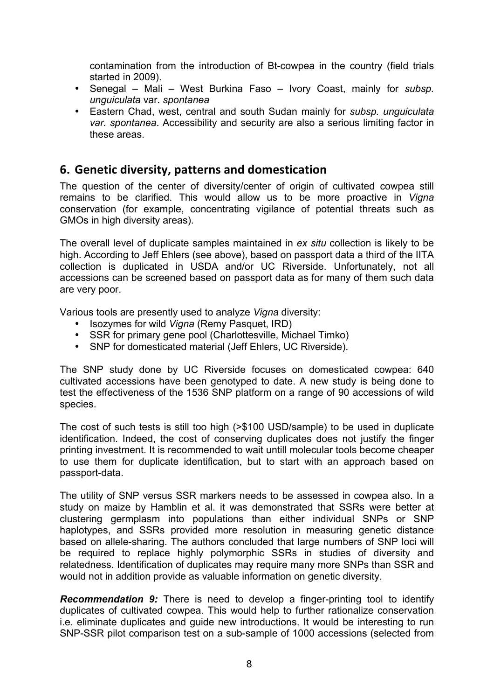contamination from the introduction of Bt-cowpea in the country (field trials started in 2009).

- Senegal Mali West Burkina Faso Ivory Coast, mainly for *subsp. unguiculata* var. *spontanea*
- Eastern Chad, west, central and south Sudan mainly for *subsp. unguiculata var. spontanea*. Accessibility and security are also a serious limiting factor in these areas.

### **6. Genetic
diversity,
patterns
and
domestication**

The question of the center of diversity/center of origin of cultivated cowpea still remains to be clarified. This would allow us to be more proactive in *Vigna* conservation (for example, concentrating vigilance of potential threats such as GMOs in high diversity areas).

The overall level of duplicate samples maintained in *ex situ* collection is likely to be high. According to Jeff Ehlers (see above), based on passport data a third of the IITA collection is duplicated in USDA and/or UC Riverside. Unfortunately, not all accessions can be screened based on passport data as for many of them such data are very poor.

Various tools are presently used to analyze *Vigna* diversity:

- Isozymes for wild *Vigna* (Remy Pasquet, IRD)
- SSR for primary gene pool (Charlottesville, Michael Timko)
- SNP for domesticated material (Jeff Ehlers, UC Riverside).

The SNP study done by UC Riverside focuses on domesticated cowpea: 640 cultivated accessions have been genotyped to date. A new study is being done to test the effectiveness of the 1536 SNP platform on a range of 90 accessions of wild species.

The cost of such tests is still too high (>\$100 USD/sample) to be used in duplicate identification. Indeed, the cost of conserving duplicates does not justify the finger printing investment. It is recommended to wait untill molecular tools become cheaper to use them for duplicate identification, but to start with an approach based on passport-data.

The utility of SNP versus SSR markers needs to be assessed in cowpea also. In a study on maize by Hamblin et al. it was demonstrated that SSRs were better at clustering germplasm into populations than either individual SNPs or SNP haplotypes, and SSRs provided more resolution in measuring genetic distance based on allele-sharing. The authors concluded that large numbers of SNP loci will be required to replace highly polymorphic SSRs in studies of diversity and relatedness. Identification of duplicates may require many more SNPs than SSR and would not in addition provide as valuable information on genetic diversity.

*Recommendation 9:* There is need to develop a finger-printing tool to identify duplicates of cultivated cowpea. This would help to further rationalize conservation i.e. eliminate duplicates and guide new introductions. It would be interesting to run SNP-SSR pilot comparison test on a sub-sample of 1000 accessions (selected from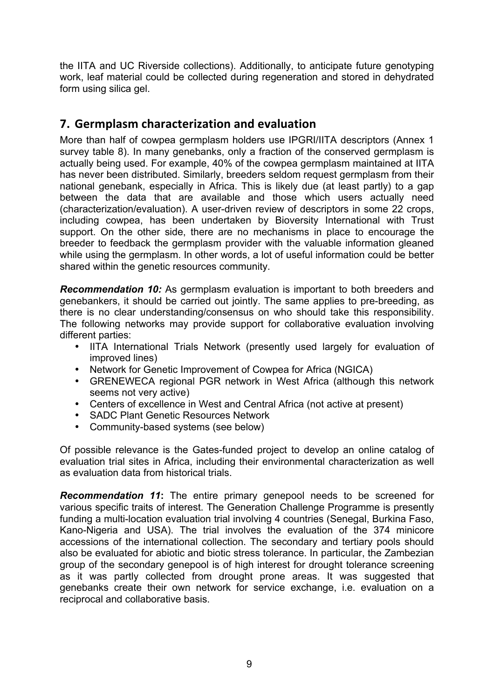the IITA and UC Riverside collections). Additionally, to anticipate future genotyping work, leaf material could be collected during regeneration and stored in dehydrated form using silica gel.

### **7. Germplasm
characterization
and
evaluation**

More than half of cowpea germplasm holders use IPGRI/IITA descriptors (Annex 1 survey table 8). In many genebanks, only a fraction of the conserved germplasm is actually being used. For example, 40% of the cowpea germplasm maintained at IITA has never been distributed. Similarly, breeders seldom request germplasm from their national genebank, especially in Africa. This is likely due (at least partly) to a gap between the data that are available and those which users actually need (characterization/evaluation). A user-driven review of descriptors in some 22 crops, including cowpea, has been undertaken by Bioversity International with Trust support. On the other side, there are no mechanisms in place to encourage the breeder to feedback the germplasm provider with the valuable information gleaned while using the germplasm. In other words, a lot of useful information could be better shared within the genetic resources community.

*Recommendation 10:* As germplasm evaluation is important to both breeders and genebankers, it should be carried out jointly. The same applies to pre-breeding, as there is no clear understanding/consensus on who should take this responsibility. The following networks may provide support for collaborative evaluation involving different parties:

- IITA International Trials Network (presently used largely for evaluation of improved lines)
- Network for Genetic Improvement of Cowpea for Africa (NGICA)
- GRENEWECA regional PGR network in West Africa (although this network seems not very active)
- Centers of excellence in West and Central Africa (not active at present)
- SADC Plant Genetic Resources Network
- Community-based systems (see below)

Of possible relevance is the Gates-funded project to develop an online catalog of evaluation trial sites in Africa, including their environmental characterization as well as evaluation data from historical trials.

*Recommendation 11***:** The entire primary genepool needs to be screened for various specific traits of interest. The Generation Challenge Programme is presently funding a multi-location evaluation trial involving 4 countries (Senegal, Burkina Faso, Kano-Nigeria and USA). The trial involves the evaluation of the 374 minicore accessions of the international collection. The secondary and tertiary pools should also be evaluated for abiotic and biotic stress tolerance. In particular, the Zambezian group of the secondary genepool is of high interest for drought tolerance screening as it was partly collected from drought prone areas. It was suggested that genebanks create their own network for service exchange, i.e. evaluation on a reciprocal and collaborative basis.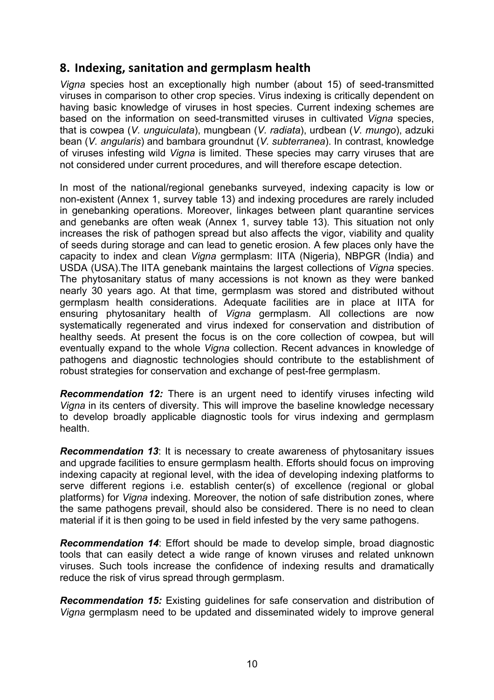### **8. Indexing,
sanitation
and
germplasm
health**

*Vigna* species host an exceptionally high number (about 15) of seed-transmitted viruses in comparison to other crop species. Virus indexing is critically dependent on having basic knowledge of viruses in host species. Current indexing schemes are based on the information on seed-transmitted viruses in cultivated *Vigna* species, that is cowpea (*V. unguiculata*), mungbean (*V. radiata*), urdbean (*V. mungo*), adzuki bean (*V. angularis*) and bambara groundnut (*V. subterranea*). In contrast, knowledge of viruses infesting wild *Vigna* is limited. These species may carry viruses that are not considered under current procedures, and will therefore escape detection.

In most of the national/regional genebanks surveyed, indexing capacity is low or non-existent (Annex 1, survey table 13) and indexing procedures are rarely included in genebanking operations. Moreover, linkages between plant quarantine services and genebanks are often weak (Annex 1, survey table 13). This situation not only increases the risk of pathogen spread but also affects the vigor, viability and quality of seeds during storage and can lead to genetic erosion. A few places only have the capacity to index and clean *Vigna* germplasm: IITA (Nigeria), NBPGR (India) and USDA (USA).The IITA genebank maintains the largest collections of *Vigna* species. The phytosanitary status of many accessions is not known as they were banked nearly 30 years ago. At that time, germplasm was stored and distributed without germplasm health considerations. Adequate facilities are in place at IITA for ensuring phytosanitary health of *Vigna* germplasm. All collections are now systematically regenerated and virus indexed for conservation and distribution of healthy seeds. At present the focus is on the core collection of cowpea, but will eventually expand to the whole *Vigna* collection. Recent advances in knowledge of pathogens and diagnostic technologies should contribute to the establishment of robust strategies for conservation and exchange of pest-free germplasm.

*Recommendation 12:* There is an urgent need to identify viruses infecting wild *Vigna* in its centers of diversity. This will improve the baseline knowledge necessary to develop broadly applicable diagnostic tools for virus indexing and germplasm health.

*Recommendation 13*: It is necessary to create awareness of phytosanitary issues and upgrade facilities to ensure germplasm health. Efforts should focus on improving indexing capacity at regional level, with the idea of developing indexing platforms to serve different regions i.e. establish center(s) of excellence (regional or global platforms) for *Vigna* indexing. Moreover, the notion of safe distribution zones, where the same pathogens prevail, should also be considered. There is no need to clean material if it is then going to be used in field infested by the very same pathogens.

*Recommendation 14*: Effort should be made to develop simple, broad diagnostic tools that can easily detect a wide range of known viruses and related unknown viruses. Such tools increase the confidence of indexing results and dramatically reduce the risk of virus spread through germplasm.

*Recommendation 15:* Existing guidelines for safe conservation and distribution of *Vigna* germplasm need to be updated and disseminated widely to improve general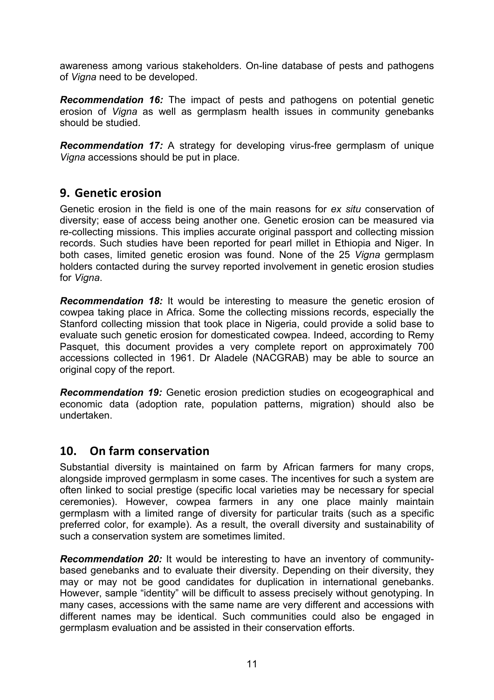awareness among various stakeholders. On-line database of pests and pathogens of *Vigna* need to be developed.

*Recommendation 16:* The impact of pests and pathogens on potential genetic erosion of *Vigna* as well as germplasm health issues in community genebanks should be studied.

*Recommendation 17:* A strategy for developing virus-free germplasm of unique *Vigna* accessions should be put in place.

### **9. Genetic
erosion**

Genetic erosion in the field is one of the main reasons for *ex situ* conservation of diversity; ease of access being another one. Genetic erosion can be measured via re-collecting missions. This implies accurate original passport and collecting mission records. Such studies have been reported for pearl millet in Ethiopia and Niger. In both cases, limited genetic erosion was found. None of the 25 *Vigna* germplasm holders contacted during the survey reported involvement in genetic erosion studies for *Vigna*.

*Recommendation 18:* It would be interesting to measure the genetic erosion of cowpea taking place in Africa. Some the collecting missions records, especially the Stanford collecting mission that took place in Nigeria, could provide a solid base to evaluate such genetic erosion for domesticated cowpea. Indeed, according to Remy Pasquet, this document provides a very complete report on approximately 700 accessions collected in 1961. Dr Aladele (NACGRAB) may be able to source an original copy of the report.

*Recommendation 19:* Genetic erosion prediction studies on ecogeographical and economic data (adoption rate, population patterns, migration) should also be undertaken.

### **10. On
farm
conservation**

Substantial diversity is maintained on farm by African farmers for many crops, alongside improved germplasm in some cases. The incentives for such a system are often linked to social prestige (specific local varieties may be necessary for special ceremonies). However, cowpea farmers in any one place mainly maintain germplasm with a limited range of diversity for particular traits (such as a specific preferred color, for example). As a result, the overall diversity and sustainability of such a conservation system are sometimes limited.

*Recommendation 20:* It would be interesting to have an inventory of communitybased genebanks and to evaluate their diversity. Depending on their diversity, they may or may not be good candidates for duplication in international genebanks. However, sample "identity" will be difficult to assess precisely without genotyping. In many cases, accessions with the same name are very different and accessions with different names may be identical. Such communities could also be engaged in germplasm evaluation and be assisted in their conservation efforts.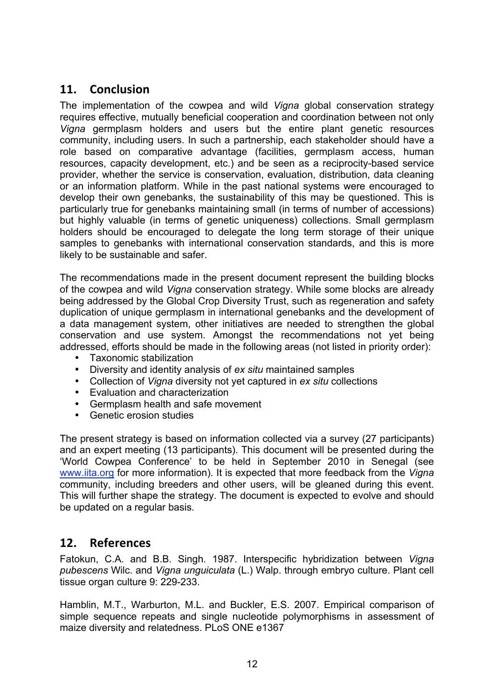### **11. Conclusion**

The implementation of the cowpea and wild *Vigna* global conservation strategy requires effective, mutually beneficial cooperation and coordination between not only *Vigna* germplasm holders and users but the entire plant genetic resources community, including users. In such a partnership, each stakeholder should have a role based on comparative advantage (facilities, germplasm access, human resources, capacity development, etc.) and be seen as a reciprocity-based service provider, whether the service is conservation, evaluation, distribution, data cleaning or an information platform. While in the past national systems were encouraged to develop their own genebanks, the sustainability of this may be questioned. This is particularly true for genebanks maintaining small (in terms of number of accessions) but highly valuable (in terms of genetic uniqueness) collections. Small germplasm holders should be encouraged to delegate the long term storage of their unique samples to genebanks with international conservation standards, and this is more likely to be sustainable and safer.

The recommendations made in the present document represent the building blocks of the cowpea and wild *Vigna* conservation strategy. While some blocks are already being addressed by the Global Crop Diversity Trust, such as regeneration and safety duplication of unique germplasm in international genebanks and the development of a data management system, other initiatives are needed to strengthen the global conservation and use system. Amongst the recommendations not yet being addressed, efforts should be made in the following areas (not listed in priority order):

- Taxonomic stabilization<br>• Diversity and identity an
- Diversity and identity analysis of *ex situ* maintained samples
- Collection of *Vigna* diversity not yet captured in *ex situ* collections
- Evaluation and characterization
- Germplasm health and safe movement
- Genetic erosion studies

The present strategy is based on information collected via a survey (27 participants) and an expert meeting (13 participants). This document will be presented during the 'World Cowpea Conference' to be held in September 2010 in Senegal (see www.iita.org for more information). It is expected that more feedback from the *Vigna* community, including breeders and other users, will be gleaned during this event. This will further shape the strategy. The document is expected to evolve and should be updated on a regular basis.

### **12. References**

Fatokun, C.A. and B.B. Singh. 1987. Interspecific hybridization between *Vigna pubescens* Wilc. and *Vigna unguiculata* (L.) Walp. through embryo culture. Plant cell tissue organ culture 9: 229-233.

Hamblin, M.T., Warburton, M.L. and Buckler, E.S. 2007. Empirical comparison of simple sequence repeats and single nucleotide polymorphisms in assessment of maize diversity and relatedness. PLoS ONE e1367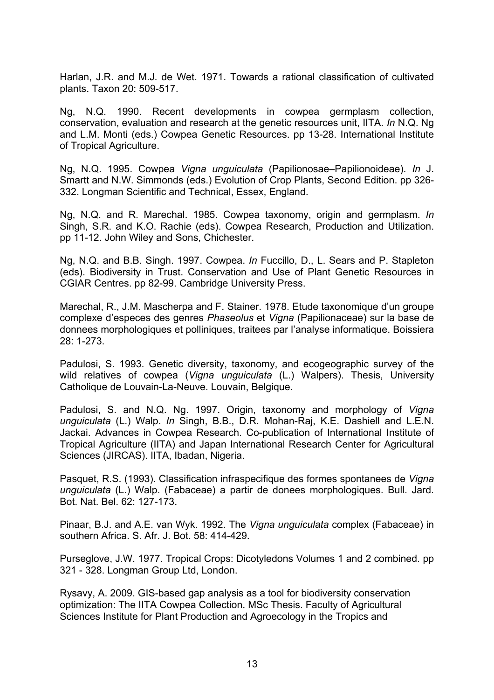Harlan, J.R. and M.J. de Wet. 1971. Towards a rational classification of cultivated plants. Taxon 20: 509-517.

Ng, N.Q. 1990. Recent developments in cowpea germplasm collection, conservation, evaluation and research at the genetic resources unit, IITA. *In* N.Q. Ng and L.M. Monti (eds.) Cowpea Genetic Resources. pp 13-28. International Institute of Tropical Agriculture.

Ng, N.Q. 1995. Cowpea *Vigna unguiculata* (Papilionosae–Papilionoideae). *In* J. Smartt and N.W. Simmonds (eds.) Evolution of Crop Plants, Second Edition. pp 326- 332. Longman Scientific and Technical, Essex, England.

Ng, N.Q. and R. Marechal. 1985. Cowpea taxonomy, origin and germplasm. *In* Singh, S.R. and K.O. Rachie (eds). Cowpea Research, Production and Utilization. pp 11-12. John Wiley and Sons, Chichester.

Ng, N.Q. and B.B. Singh. 1997. Cowpea. *In* Fuccillo, D., L. Sears and P. Stapleton (eds). Biodiversity in Trust. Conservation and Use of Plant Genetic Resources in CGIAR Centres. pp 82-99. Cambridge University Press.

Marechal, R., J.M. Mascherpa and F. Stainer. 1978. Etude taxonomique d'un groupe complexe d'especes des genres *Phaseolus* et *Vigna* (Papilionaceae) sur la base de donnees morphologiques et polliniques, traitees par l'analyse informatique. Boissiera 28: 1-273.

Padulosi, S. 1993. Genetic diversity, taxonomy, and ecogeographic survey of the wild relatives of cowpea (*Vigna unguiculata* (L.) Walpers). Thesis, University Catholique de Louvain-La-Neuve. Louvain, Belgique.

Padulosi, S. and N.Q. Ng. 1997. Origin, taxonomy and morphology of *Vigna unguiculata* (L.) Walp. *In* Singh, B.B., D.R. Mohan-Raj, K.E. Dashiell and L.E.N. Jackai. Advances in Cowpea Research. Co-publication of International Institute of Tropical Agriculture (IITA) and Japan International Research Center for Agricultural Sciences (JIRCAS). IITA, Ibadan, Nigeria.

Pasquet, R.S. (1993). Classification infraspecifique des formes spontanees de *Vigna unguiculata* (L.) Walp. (Fabaceae) a partir de donees morphologiques. Bull. Jard. Bot. Nat. Bel. 62: 127-173.

Pinaar, B.J. and A.E. van Wyk. 1992. The *Vigna unguiculata* complex (Fabaceae) in southern Africa. S. Afr. J. Bot. 58: 414-429.

Purseglove, J.W. 1977. Tropical Crops: Dicotyledons Volumes 1 and 2 combined. pp 321 - 328. Longman Group Ltd, London.

Rysavy, A. 2009. GIS-based gap analysis as a tool for biodiversity conservation optimization: The IITA Cowpea Collection. MSc Thesis. Faculty of Agricultural Sciences Institute for Plant Production and Agroecology in the Tropics and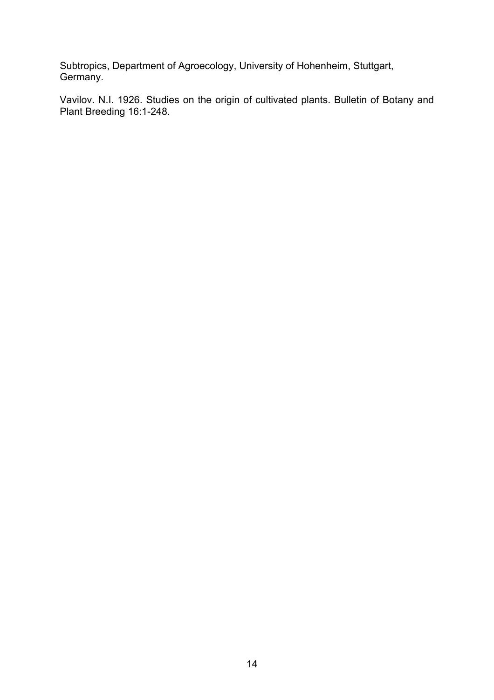Subtropics, Department of Agroecology, University of Hohenheim, Stuttgart, Germany.

Vavilov. N.I. 1926. Studies on the origin of cultivated plants. Bulletin of Botany and Plant Breeding 16:1-248.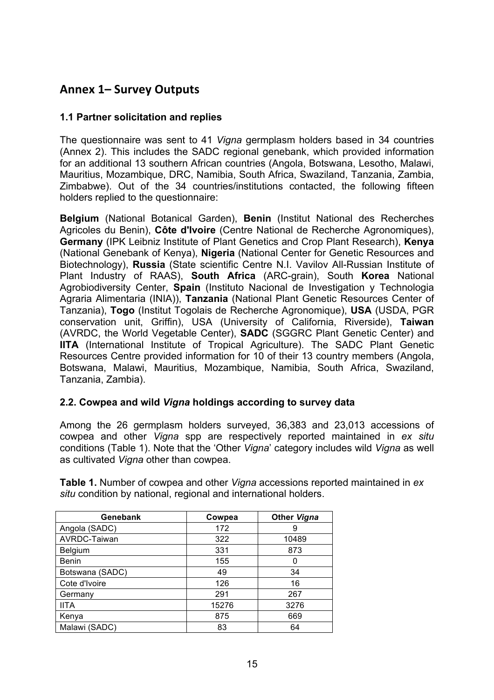### **Annex
1– Survey
Outputs**

#### **1.1 Partner solicitation and replies**

The questionnaire was sent to 41 *Vigna* germplasm holders based in 34 countries (Annex 2). This includes the SADC regional genebank, which provided information for an additional 13 southern African countries (Angola, Botswana, Lesotho, Malawi, Mauritius, Mozambique, DRC, Namibia, South Africa, Swaziland, Tanzania, Zambia, Zimbabwe). Out of the 34 countries/institutions contacted, the following fifteen holders replied to the questionnaire:

**Belgium** (National Botanical Garden), **Benin** (Institut National des Recherches Agricoles du Benin), **Côte d'Ivoire** (Centre National de Recherche Agronomiques), **Germany** (IPK Leibniz Institute of Plant Genetics and Crop Plant Research), **Kenya** (National Genebank of Kenya), **Nigeria** (National Center for Genetic Resources and Biotechnology), **Russia** (State scientific Centre N.I. Vavilov All-Russian Institute of Plant Industry of RAAS), **South Africa** (ARC-grain), South **Korea** National Agrobiodiversity Center, **Spain** (Instituto Nacional de Investigation y Technologia Agraria Alimentaria (INIA)), **Tanzania** (National Plant Genetic Resources Center of Tanzania), **Togo** (Institut Togolais de Recherche Agronomique), **USA** (USDA, PGR conservation unit, Griffin), USA (University of California, Riverside), **Taiwan** (AVRDC, the World Vegetable Center), **SADC** (SGGRC Plant Genetic Center) and **IITA** (International Institute of Tropical Agriculture). The SADC Plant Genetic Resources Centre provided information for 10 of their 13 country members (Angola, Botswana, Malawi, Mauritius, Mozambique, Namibia, South Africa, Swaziland, Tanzania, Zambia).

#### **2.2. Cowpea and wild** *Vigna* **holdings according to survey data**

Among the 26 germplasm holders surveyed, 36,383 and 23,013 accessions of cowpea and other *Vigna* spp are respectively reported maintained in *ex situ* conditions (Table 1). Note that the 'Other *Vigna*' category includes wild *Vigna* as well as cultivated *Vigna* other than cowpea.

| Genebank        | Cowpea | <b>Other Vigna</b> |
|-----------------|--------|--------------------|
| Angola (SADC)   | 172    | 9                  |
| AVRDC-Taiwan    | 322    | 10489              |
| Belgium         | 331    | 873                |
| Benin           | 155    | 0                  |
| Botswana (SADC) | 49     | 34                 |
| Cote d'Ivoire   | 126    | 16                 |
| Germany         | 291    | 267                |
| <b>IITA</b>     | 15276  | 3276               |
| Kenya           | 875    | 669                |
| Malawi (SADC)   | 83     | 64                 |

**Table 1.** Number of cowpea and other *Vigna* accessions reported maintained in *ex situ* condition by national, regional and international holders.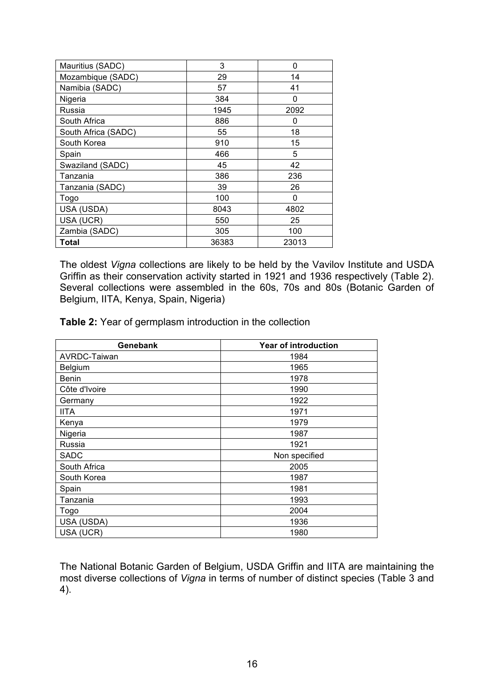| Mauritius (SADC)    | 3     | 0     |
|---------------------|-------|-------|
| Mozambique (SADC)   | 29    | 14    |
| Namibia (SADC)      | 57    | 41    |
| Nigeria             | 384   | 0     |
| Russia              | 1945  | 2092  |
| South Africa        | 886   | 0     |
| South Africa (SADC) | 55    | 18    |
| South Korea         | 910   | 15    |
| Spain               | 466   | 5     |
| Swaziland (SADC)    | 45    | 42    |
| Tanzania            | 386   | 236   |
| Tanzania (SADC)     | 39    | 26    |
| Togo                | 100   | 0     |
| USA (USDA)          | 8043  | 4802  |
| USA (UCR)           | 550   | 25    |
| Zambia (SADC)       | 305   | 100   |
| <b>Total</b>        | 36383 | 23013 |

The oldest *Vigna* collections are likely to be held by the Vavilov Institute and USDA Griffin as their conservation activity started in 1921 and 1936 respectively (Table 2). Several collections were assembled in the 60s, 70s and 80s (Botanic Garden of Belgium, IITA, Kenya, Spain, Nigeria)

**Table 2:** Year of germplasm introduction in the collection

| Genebank      | <b>Year of introduction</b> |
|---------------|-----------------------------|
| AVRDC-Taiwan  | 1984                        |
| Belgium       | 1965                        |
| <b>Benin</b>  | 1978                        |
| Côte d'Ivoire | 1990                        |
| Germany       | 1922                        |
| <b>IITA</b>   | 1971                        |
| Kenya         | 1979                        |
| Nigeria       | 1987                        |
| Russia        | 1921                        |
| <b>SADC</b>   | Non specified               |
| South Africa  | 2005                        |
| South Korea   | 1987                        |
| Spain         | 1981                        |
| Tanzania      | 1993                        |
| Togo          | 2004                        |
| USA (USDA)    | 1936                        |
| USA (UCR)     | 1980                        |

The National Botanic Garden of Belgium, USDA Griffin and IITA are maintaining the most diverse collections of *Vigna* in terms of number of distinct species (Table 3 and 4).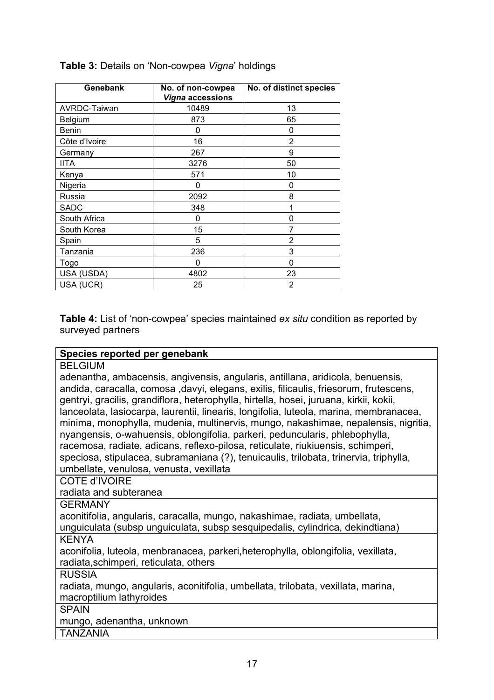| Genebank            | No. of non-cowpea<br><b>Vigna accessions</b> | No. of distinct species |
|---------------------|----------------------------------------------|-------------------------|
| <b>AVRDC-Taiwan</b> | 10489                                        | 13                      |
| Belgium             | 873                                          | 65                      |
| <b>Benin</b>        | 0                                            | 0                       |
| Côte d'Ivoire       | 16                                           | 2                       |
| Germany             | 267                                          | 9                       |
| <b>IITA</b>         | 3276                                         | 50                      |
| Kenya               | 571                                          | 10                      |
| Nigeria             | 0                                            | 0                       |
| Russia              | 2092                                         | 8                       |
| <b>SADC</b>         | 348                                          | 1                       |
| South Africa        | 0                                            | 0                       |
| South Korea         | 15                                           | 7                       |
| Spain               | 5                                            | 2                       |
| Tanzania            | 236                                          | 3                       |
| Togo                | 0                                            | 0                       |
| USA (USDA)          | 4802                                         | 23                      |
| USA (UCR)           | 25                                           | 2                       |

**Table 3:** Details on 'Non-cowpea *Vigna*' holdings

**Table 4:** List of 'non-cowpea' species maintained *ex situ* condition as reported by surveyed partners

#### **Species reported per genebank**

| <b>BELGIUM</b> |
|----------------|
|----------------|

adenantha, ambacensis, angivensis, angularis, antillana, aridicola, benuensis, andida, caracalla, comosa ,davyi, elegans, exilis, filicaulis, friesorum, frutescens, gentryi, gracilis, grandiflora, heterophylla, hirtella, hosei, juruana, kirkii, kokii, lanceolata, lasiocarpa, laurentii, linearis, longifolia, luteola, marina, membranacea, minima, monophylla, mudenia, multinervis, mungo, nakashimae, nepalensis, nigritia, nyangensis, o-wahuensis, oblongifolia, parkeri, peduncularis, phlebophylla, racemosa, radiate, adicans, reflexo-pilosa, reticulate, riukiuensis, schimperi, speciosa, stipulacea, subramaniana (?), tenuicaulis, trilobata, trinervia, triphylla, umbellate, venulosa, venusta, vexillata

COTE d'IVOIRE

radiata and subteranea

GERMANY

aconitifolia, angularis, caracalla, mungo, nakashimae, radiata, umbellata,

unguiculata (subsp unguiculata, subsp sesquipedalis, cylindrica, dekindtiana) KENYA

aconifolia, luteola, menbranacea, parkeri,heterophylla, oblongifolia, vexillata, radiata,schimperi, reticulata, others

RUSSIA

radiata, mungo, angularis, aconitifolia, umbellata, trilobata, vexillata, marina, macroptilium lathyroides

SPAIN

mungo, adenantha, unknown

TANZANIA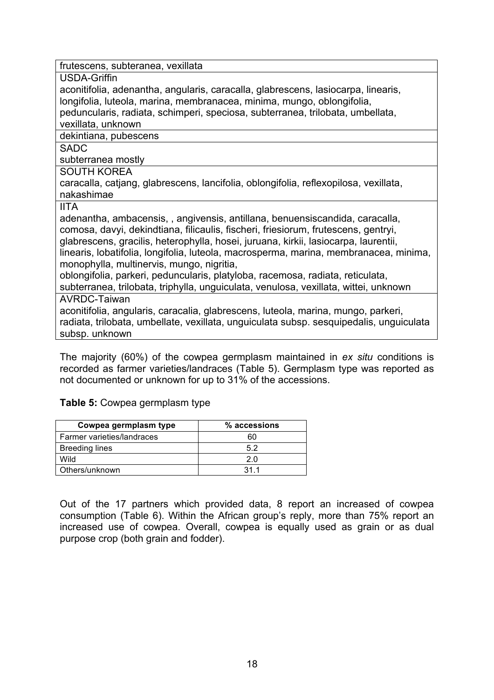| frutescens, subteranea, vexillata |
|-----------------------------------|
|-----------------------------------|

USDA-Griffin

aconitifolia, adenantha, angularis, caracalla, glabrescens, lasiocarpa, linearis, longifolia, luteola, marina, membranacea, minima, mungo, oblongifolia, peduncularis, radiata, schimperi, speciosa, subterranea, trilobata, umbellata,

vexillata, unknown

dekintiana, pubescens

SADC

subterranea mostly

SOUTH KOREA

caracalla, catjang, glabrescens, lancifolia, oblongifolia, reflexopilosa, vexillata, nakashimae

IITA

adenantha, ambacensis, , angivensis, antillana, benuensiscandida, caracalla, comosa, davyi, dekindtiana, filicaulis, fischeri, friesiorum, frutescens, gentryi, glabrescens, gracilis, heterophylla, hosei, juruana, kirkii, lasiocarpa, laurentii, linearis, lobatifolia, longifolia, luteola, macrosperma, marina, membranacea, minima, monophylla, multinervis, mungo, nigritia, oblongifolia, parkeri, peduncularis, platyloba, racemosa, radiata, reticulata,

subterranea, trilobata, triphylla, unguiculata, venulosa, vexillata, wittei, unknown

AVRDC-Taiwan

aconitifolia, angularis, caracalia, glabrescens, luteola, marina, mungo, parkeri, radiata, trilobata, umbellate, vexillata, unguiculata subsp. sesquipedalis, unguiculata subsp. unknown

The majority (60%) of the cowpea germplasm maintained in *ex situ* conditions is recorded as farmer varieties/landraces (Table 5). Germplasm type was reported as not documented or unknown for up to 31% of the accessions.

#### **Table 5:** Cowpea germplasm type

| Cowpea germplasm type      | % accessions |
|----------------------------|--------------|
| Farmer varieties/landraces | 60           |
| <b>Breeding lines</b>      | 52           |
| Wild                       | 2 በ          |
| Others/unknown             | 311          |

Out of the 17 partners which provided data, 8 report an increased of cowpea consumption (Table 6). Within the African group's reply, more than 75% report an increased use of cowpea. Overall, cowpea is equally used as grain or as dual purpose crop (both grain and fodder).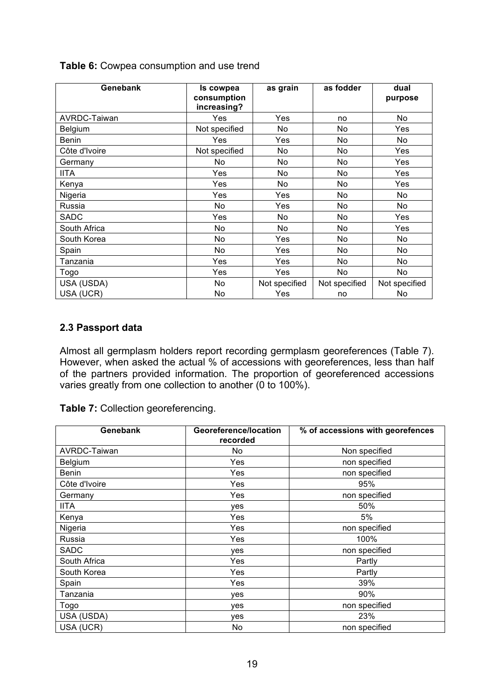| Genebank       | Is cowpea<br>consumption<br>increasing? | as grain      | as fodder     | dual<br>purpose |
|----------------|-----------------------------------------|---------------|---------------|-----------------|
| AVRDC-Taiwan   | Yes                                     | Yes           | no            | No              |
| <b>Belgium</b> | Not specified                           | No            | No            | Yes             |
| <b>Benin</b>   | Yes                                     | Yes           | No            | No              |
| Côte d'Ivoire  | Not specified                           | No            | No            | Yes             |
| Germany        | No                                      | No            | No            | Yes             |
| <b>IITA</b>    | Yes                                     | No            | No            | Yes             |
| Kenya          | Yes                                     | No            | No            | Yes             |
| Nigeria        | Yes                                     | Yes           | No            | No              |
| Russia         | No                                      | Yes           | No            | No              |
| <b>SADC</b>    | Yes                                     | No            | No            | Yes             |
| South Africa   | No.                                     | No.           | No            | Yes             |
| South Korea    | No                                      | Yes           | No            | No              |
| Spain          | No                                      | Yes           | No            | No              |
| Tanzania       | Yes                                     | Yes           | No            | No              |
| Togo           | Yes                                     | Yes           | No            | No              |
| USA (USDA)     | No                                      | Not specified | Not specified | Not specified   |
| USA (UCR)      | No                                      | Yes           | no            | No              |

**Table 6:** Cowpea consumption and use trend

#### **2.3 Passport data**

Almost all germplasm holders report recording germplasm georeferences (Table 7). However, when asked the actual % of accessions with georeferences, less than half of the partners provided information. The proportion of georeferenced accessions varies greatly from one collection to another (0 to 100%).

**Table 7:** Collection georeferencing.

| Genebank      | Georeference/location<br>recorded | % of accessions with georefences |
|---------------|-----------------------------------|----------------------------------|
| AVRDC-Taiwan  | No.                               | Non specified                    |
| Belgium       | Yes                               | non specified                    |
| <b>Benin</b>  | Yes                               | non specified                    |
| Côte d'Ivoire | Yes                               | 95%                              |
| Germany       | Yes                               | non specified                    |
| <b>IITA</b>   | ves                               | 50%                              |
| Kenya         | Yes                               | 5%                               |
| Nigeria       | Yes                               | non specified                    |
| Russia        | Yes                               | 100%                             |
| <b>SADC</b>   | yes                               | non specified                    |
| South Africa  | Yes                               | Partly                           |
| South Korea   | Yes                               | Partly                           |
| Spain         | Yes                               | 39%                              |
| Tanzania      | yes                               | 90%                              |
| Togo          | yes                               | non specified                    |
| USA (USDA)    | yes                               | 23%                              |
| USA (UCR)     | No                                | non specified                    |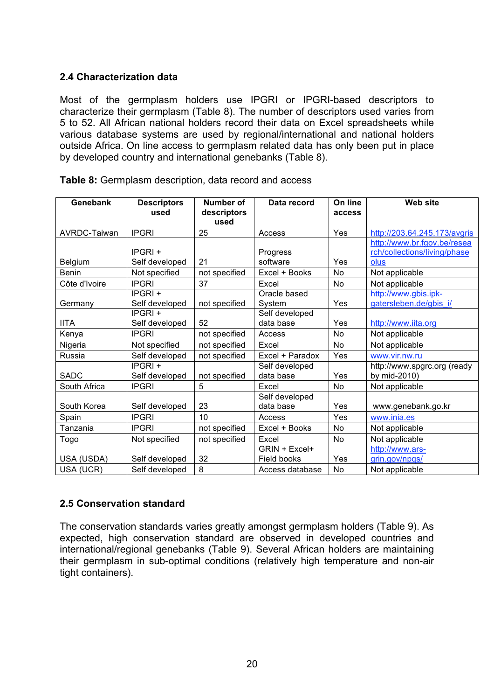#### **2.4 Characterization data**

Most of the germplasm holders use IPGRI or IPGRI-based descriptors to characterize their germplasm (Table 8). The number of descriptors used varies from 5 to 52. All African national holders record their data on Excel spreadsheets while various database systems are used by regional/international and national holders outside Africa. On line access to germplasm related data has only been put in place by developed country and international genebanks (Table 8).

| Genebank      | <b>Descriptors</b><br>used  | <b>Number of</b><br>descriptors<br>used | Data record                  | On line<br>access | Web site                                                            |
|---------------|-----------------------------|-----------------------------------------|------------------------------|-------------------|---------------------------------------------------------------------|
| AVRDC-Taiwan  | <b>IPGRI</b>                | 25                                      | Access                       | Yes               | http://203.64.245.173/avgris                                        |
| Belgium       | $IPGRI +$<br>Self developed | 21                                      | Progress<br>software         | Yes               | http://www.br.fgov.be/resea<br>rch/collections/living/phase<br>olus |
| Benin         | Not specified               | not specified                           | Excel + Books                | No                | Not applicable                                                      |
| Côte d'Ivoire | <b>IPGRI</b>                | 37                                      | Excel                        | No                | Not applicable                                                      |
| Germany       | IPGRI +<br>Self developed   | not specified                           | Oracle based<br>System       | Yes               | http://www.gbis.ipk-<br>gatersleben.de/gbis_i/                      |
| <b>IITA</b>   | IPGRI +<br>Self developed   | 52                                      | Self developed<br>data base  | Yes               | http://www.iita.org                                                 |
| Kenya         | <b>IPGRI</b>                | not specified                           | Access                       | No                | Not applicable                                                      |
| Nigeria       | Not specified               | not specified                           | Excel                        | No                | Not applicable                                                      |
| Russia        | Self developed              | not specified                           | Excel + Paradox              | Yes               | www.vir.nw.ru                                                       |
| <b>SADC</b>   | IPGRI +<br>Self developed   | not specified                           | Self developed<br>data base  | Yes               | http://www.spgrc.org (ready<br>by mid-2010)                         |
| South Africa  | <b>IPGRI</b>                | 5                                       | Excel                        | No                | Not applicable                                                      |
| South Korea   | Self developed              | 23                                      | Self developed<br>data base  | Yes               | www.genebank.go.kr                                                  |
| Spain         | <b>IPGRI</b>                | 10                                      | Access                       | Yes               | www.inia.es                                                         |
| Tanzania      | <b>IPGRI</b>                | not specified                           | Excel + Books                | No.               | Not applicable                                                      |
| Togo          | Not specified               | not specified                           | Excel                        | No                | Not applicable                                                      |
| USA (USDA)    | Self developed              | 32                                      | GRIN + Excel+<br>Field books | Yes               | http://www.ars-<br>grin.gov/npgs/                                   |
| USA (UCR)     | Self developed              | 8                                       | Access database              | No                | Not applicable                                                      |

**Table 8:** Germplasm description, data record and access

#### **2.5 Conservation standard**

The conservation standards varies greatly amongst germplasm holders (Table 9). As expected, high conservation standard are observed in developed countries and international/regional genebanks (Table 9). Several African holders are maintaining their germplasm in sub-optimal conditions (relatively high temperature and non-air tight containers).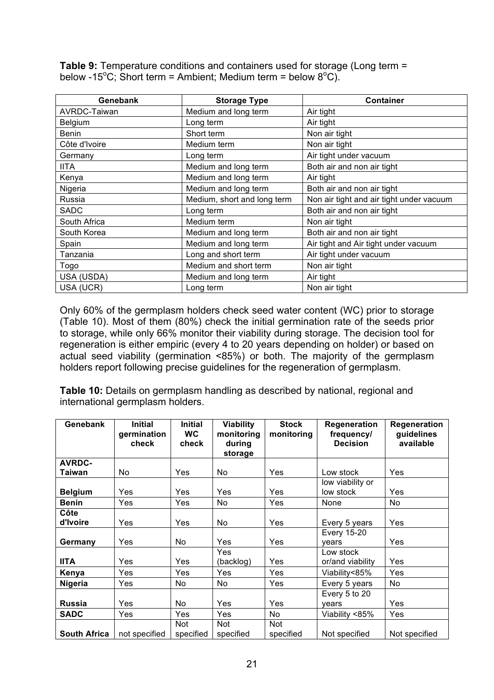**Table 9:** Temperature conditions and containers used for storage (Long term = below -15<sup>o</sup>C; Short term = Ambient; Medium term = below 8<sup>o</sup>C).

| Genebank            | <b>Storage Type</b>         | <b>Container</b>                         |
|---------------------|-----------------------------|------------------------------------------|
| <b>AVRDC-Taiwan</b> | Medium and long term        | Air tight                                |
| Belgium             | Long term                   | Air tight                                |
| Benin               | Short term                  | Non air tight                            |
| Côte d'Ivoire       | Medium term                 | Non air tight                            |
| Germany             | Long term                   | Air tight under vacuum                   |
| <b>IITA</b>         | Medium and long term        | Both air and non air tight               |
| Kenya               | Medium and long term        | Air tight                                |
| Nigeria             | Medium and long term        | Both air and non air tight               |
| Russia              | Medium, short and long term | Non air tight and air tight under vacuum |
| SADC                | Long term                   | Both air and non air tight               |
| South Africa        | Medium term                 | Non air tight                            |
| South Korea         | Medium and long term        | Both air and non air tight               |
| Spain               | Medium and long term        | Air tight and Air tight under vacuum     |
| Tanzania            | Long and short term         | Air tight under vacuum                   |
| Togo                | Medium and short term       | Non air tight                            |
| USA (USDA)          | Medium and long term        | Air tight                                |
| USA (UCR)           | Long term                   | Non air tight                            |

Only 60% of the germplasm holders check seed water content (WC) prior to storage (Table 10). Most of them (80%) check the initial germination rate of the seeds prior to storage, while only 66% monitor their viability during storage. The decision tool for regeneration is either empiric (every 4 to 20 years depending on holder) or based on actual seed viability (germination <85%) or both. The majority of the germplasm holders report following precise guidelines for the regeneration of germplasm.

**Table 10:** Details on germplasm handling as described by national, regional and international germplasm holders.

| Genebank            | <b>Initial</b><br>germination<br>check | <b>Initial</b><br><b>WC</b><br>check | Viability<br>monitoring<br>during | <b>Stock</b><br>monitoring | Regeneration<br>frequency/<br><b>Decision</b> | Regeneration<br>guidelines<br>available |
|---------------------|----------------------------------------|--------------------------------------|-----------------------------------|----------------------------|-----------------------------------------------|-----------------------------------------|
|                     |                                        |                                      | storage                           |                            |                                               |                                         |
| <b>AVRDC-</b>       |                                        |                                      |                                   |                            |                                               |                                         |
| Taiwan              | No.                                    | Yes                                  | <b>No</b>                         | Yes                        | Low stock                                     | Yes                                     |
|                     |                                        |                                      |                                   |                            | low viability or                              |                                         |
| <b>Belgium</b>      | Yes                                    | Yes                                  | Yes                               | Yes                        | low stock                                     | Yes                                     |
| <b>Benin</b>        | Yes                                    | Yes                                  | No.                               | Yes                        | None                                          | No.                                     |
| Côte                |                                        |                                      |                                   |                            |                                               |                                         |
| d'Ivoire            | Yes                                    | Yes                                  | No                                | Yes                        | Every 5 years                                 | Yes                                     |
|                     |                                        |                                      |                                   |                            | <b>Every 15-20</b>                            |                                         |
| Germany             | Yes                                    | No                                   | Yes                               | Yes                        | vears                                         | Yes                                     |
|                     |                                        |                                      | <b>Yes</b>                        |                            | Low stock                                     |                                         |
| <b>IITA</b>         | Yes                                    | Yes                                  | (backlog)                         | Yes                        | or/and viability                              | Yes                                     |
| Kenya               | Yes                                    | Yes                                  | Yes                               | Yes                        | Viability<85%                                 | Yes                                     |
| <b>Nigeria</b>      | Yes                                    | No                                   | <b>No</b>                         | Yes                        | Every 5 years                                 | No                                      |
|                     |                                        |                                      |                                   |                            | Every 5 to 20                                 |                                         |
| <b>Russia</b>       | Yes                                    | No                                   | Yes                               | Yes                        | vears                                         | Yes                                     |
| <b>SADC</b>         | Yes                                    | Yes                                  | Yes                               | No                         | Viability <85%                                | Yes                                     |
|                     |                                        | <b>Not</b>                           | <b>Not</b>                        | <b>Not</b>                 |                                               |                                         |
| <b>South Africa</b> | not specified                          | specified                            | specified                         | specified                  | Not specified                                 | Not specified                           |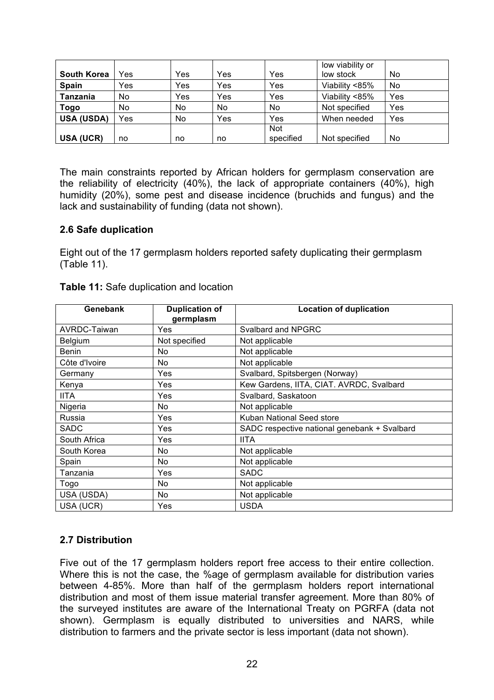|                    |           |     |     |            | low viability or |     |
|--------------------|-----------|-----|-----|------------|------------------|-----|
| <b>South Korea</b> | Yes       | Yes | Yes | Yes        | low stock        | No  |
| <b>Spain</b>       | Yes       | Yes | Yes | Yes        | Viability <85%   | No  |
| Tanzania           | <b>No</b> | Yes | Yes | Yes        | Viability <85%   | Yes |
| Togo               | No        | No  | No  | No         | Not specified    | Yes |
| <b>USA (USDA)</b>  | Yes       | No  | Yes | Yes        | When needed      | Yes |
|                    |           |     |     | <b>Not</b> |                  |     |
| USA (UCR)          | no        | no  | no  | specified  | Not specified    | No  |

The main constraints reported by African holders for germplasm conservation are the reliability of electricity (40%), the lack of appropriate containers (40%), high humidity (20%), some pest and disease incidence (bruchids and fungus) and the lack and sustainability of funding (data not shown).

#### **2.6 Safe duplication**

Eight out of the 17 germplasm holders reported safety duplicating their germplasm (Table 11).

| Genebank      | <b>Duplication of</b><br>germplasm | <b>Location of duplication</b>               |
|---------------|------------------------------------|----------------------------------------------|
| AVRDC-Taiwan  | Yes                                | Svalbard and NPGRC                           |
| Belgium       | Not specified                      | Not applicable                               |
| <b>Benin</b>  | No.                                | Not applicable                               |
| Côte d'Ivoire | No.                                | Not applicable                               |
| Germany       | Yes                                | Svalbard, Spitsbergen (Norway)               |
| Kenya         | Yes                                | Kew Gardens, IITA, CIAT. AVRDC, Svalbard     |
| <b>IITA</b>   | Yes                                | Svalbard, Saskatoon                          |
| Nigeria       | No                                 | Not applicable                               |
| Russia        | Yes                                | Kuban National Seed store                    |
| SADC          | Yes                                | SADC respective national genebank + Svalbard |
| South Africa  | Yes                                | <b>IITA</b>                                  |
| South Korea   | No.                                | Not applicable                               |
| Spain         | No                                 | Not applicable                               |
| Tanzania      | Yes                                | <b>SADC</b>                                  |
| Togo          | No                                 | Not applicable                               |
| USA (USDA)    | No.                                | Not applicable                               |
| USA (UCR)     | Yes                                | <b>USDA</b>                                  |

**Table 11:** Safe duplication and location

#### **2.7 Distribution**

Five out of the 17 germplasm holders report free access to their entire collection. Where this is not the case, the %age of germplasm available for distribution varies between 4-85%. More than half of the germplasm holders report international distribution and most of them issue material transfer agreement. More than 80% of the surveyed institutes are aware of the International Treaty on PGRFA (data not shown). Germplasm is equally distributed to universities and NARS, while distribution to farmers and the private sector is less important (data not shown).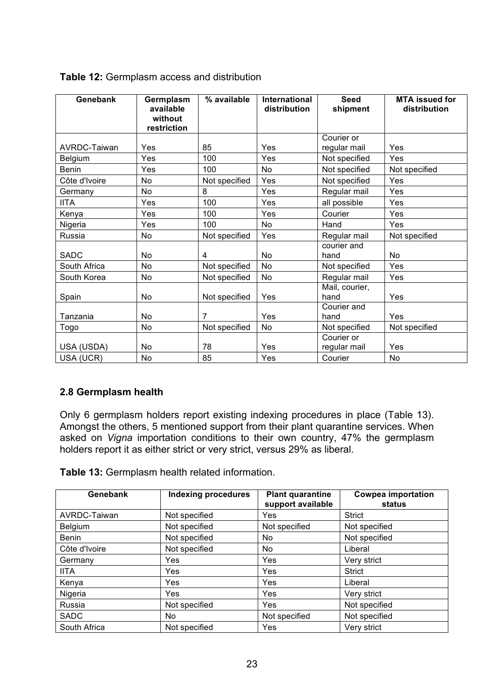| Genebank       | Germplasm<br>available<br>without<br>restriction | % available   | <b>International</b><br>distribution | <b>Seed</b><br>shipment    | <b>MTA</b> issued for<br>distribution |
|----------------|--------------------------------------------------|---------------|--------------------------------------|----------------------------|---------------------------------------|
| AVRDC-Taiwan   | Yes                                              | 85            | Yes                                  | Courier or<br>regular mail | Yes                                   |
| <b>Belgium</b> | Yes                                              | 100           | Yes                                  | Not specified              | Yes                                   |
| <b>Benin</b>   | Yes                                              | 100           | No                                   | Not specified              | Not specified                         |
| Côte d'Ivoire  | No                                               | Not specified | Yes                                  | Not specified              | Yes                                   |
| Germany        | No                                               | 8             | Yes                                  | Regular mail               | Yes                                   |
| <b>IITA</b>    | Yes                                              | 100           | Yes                                  | all possible               | Yes                                   |
| Kenya          | Yes                                              | 100           | Yes                                  | Courier                    | Yes                                   |
| Nigeria        | Yes                                              | 100           | No                                   | Hand                       | Yes                                   |
| Russia         | No                                               | Not specified | Yes                                  | Regular mail               | Not specified                         |
| SADC           | No                                               | 4             | No                                   | courier and<br>hand        | No                                    |
| South Africa   | <b>No</b>                                        | Not specified | <b>No</b>                            | Not specified              | Yes                                   |
| South Korea    | No                                               | Not specified | No                                   | Regular mail               | Yes                                   |
| Spain          | No                                               | Not specified | Yes                                  | Mail, courier,<br>hand     | Yes                                   |
| Tanzania       | <b>No</b>                                        | 7             | Yes                                  | Courier and<br>hand        | Yes                                   |
| Togo           | No                                               | Not specified | No                                   | Not specified              | Not specified                         |
| USA (USDA)     | No                                               | 78            | Yes                                  | Courier or<br>regular mail | Yes                                   |
| USA (UCR)      | No                                               | 85            | Yes                                  | Courier                    | No                                    |

#### **Table 12:** Germplasm access and distribution

#### **2.8 Germplasm health**

Only 6 germplasm holders report existing indexing procedures in place (Table 13). Amongst the others, 5 mentioned support from their plant quarantine services. When asked on *Vigna* importation conditions to their own country, 47% the germplasm holders report it as either strict or very strict, versus 29% as liberal.

**Table 13:** Germplasm health related information.

| Genebank      | <b>Indexing procedures</b> | <b>Plant quarantine</b><br>support available | <b>Cowpea importation</b><br>status |
|---------------|----------------------------|----------------------------------------------|-------------------------------------|
| AVRDC-Taiwan  | Not specified              | <b>Yes</b>                                   | <b>Strict</b>                       |
| Belgium       | Not specified              | Not specified                                | Not specified                       |
| <b>Benin</b>  | Not specified              | No                                           | Not specified                       |
| Côte d'Ivoire | Not specified              | No                                           | Liberal                             |
| Germany       | Yes                        | Yes                                          | Very strict                         |
| <b>IITA</b>   | Yes                        | Yes                                          | <b>Strict</b>                       |
| Kenya         | Yes                        | Yes                                          | Liberal                             |
| Nigeria       | Yes                        | Yes                                          | Very strict                         |
| Russia        | Not specified              | <b>Yes</b>                                   | Not specified                       |
| <b>SADC</b>   | No.                        | Not specified                                | Not specified                       |
| South Africa  | Not specified              | Yes                                          | Very strict                         |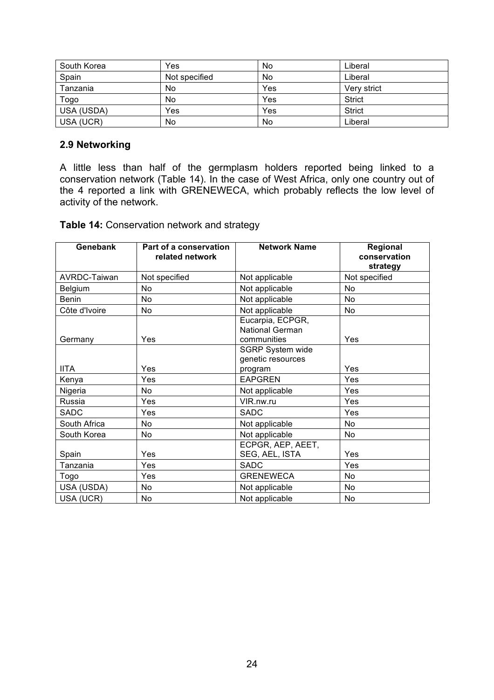| South Korea | Yes           | No  | Liberal       |
|-------------|---------------|-----|---------------|
| Spain       | Not specified | No  | Liberal       |
| Tanzania    | No.           | Yes | Very strict   |
| Togo        | No            | Yes | <b>Strict</b> |
| USA (USDA)  | Yes           | Yes | <b>Strict</b> |
| USA (UCR)   | No            | No  | Liberal       |

#### **2.9 Networking**

A little less than half of the germplasm holders reported being linked to a conservation network (Table 14). In the case of West Africa, only one country out of the 4 reported a link with GRENEWECA, which probably reflects the low level of activity of the network.

**Table 14:** Conservation network and strategy

| Genebank      | Part of a conservation<br>related network | <b>Network Name</b>                                | Regional<br>conservation<br>strategy |
|---------------|-------------------------------------------|----------------------------------------------------|--------------------------------------|
| AVRDC-Taiwan  | Not specified                             | Not applicable                                     | Not specified                        |
| Belgium       | No.                                       | Not applicable                                     | No                                   |
| <b>Benin</b>  | No                                        | Not applicable                                     | No                                   |
| Côte d'Ivoire | No.                                       | Not applicable                                     | No                                   |
| Germany       | Yes                                       | Eucarpia, ECPGR,<br>National German<br>communities | Yes                                  |
| <b>IITA</b>   | Yes                                       | SGRP System wide<br>genetic resources<br>program   | Yes                                  |
| Kenya         | Yes                                       | <b>EAPGREN</b>                                     | Yes                                  |
| Nigeria       | No.                                       | Not applicable                                     | Yes                                  |
| Russia        | Yes                                       | VIR.nw.ru                                          | Yes                                  |
| SADC          | Yes                                       | <b>SADC</b>                                        | Yes                                  |
| South Africa  | No.                                       | Not applicable                                     | N <sub>o</sub>                       |
| South Korea   | No                                        | Not applicable                                     | No                                   |
| Spain         | Yes                                       | ECPGR, AEP, AEET,<br>SEG, AEL, ISTA                | Yes                                  |
| Tanzania      | Yes                                       | <b>SADC</b>                                        | Yes                                  |
| Togo          | Yes                                       | <b>GRENEWECA</b>                                   | No                                   |
| USA (USDA)    | No.                                       | Not applicable                                     | No                                   |
| USA (UCR)     | No                                        | Not applicable                                     | No                                   |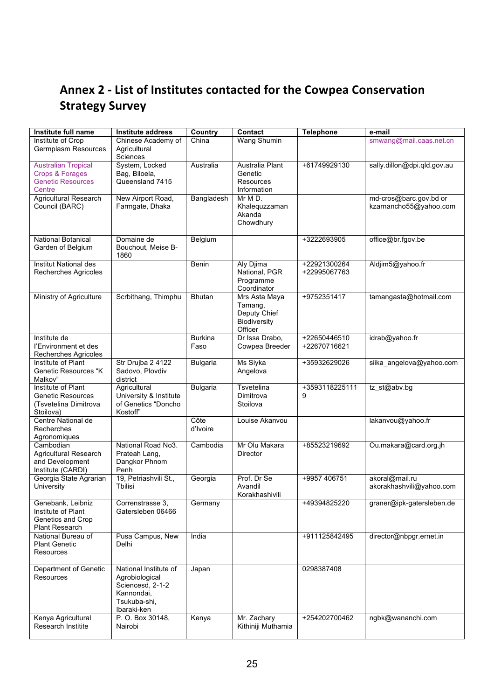# Annex 2 - List of Institutes contacted for the Cowpea Conservation **Strategy
Survey**

| Institute full name                             | Institute address              | Country         | Contact                | <b>Telephone</b> | e-mail                      |
|-------------------------------------------------|--------------------------------|-----------------|------------------------|------------------|-----------------------------|
| Institute of Crop                               | Chinese Academy of             | China           | Wang Shumin            |                  | smwang@mail.caas.net.cn     |
| Germplasm Resources                             | Agricultural                   |                 |                        |                  |                             |
|                                                 | Sciences                       |                 |                        |                  |                             |
| <b>Australian Tropical</b>                      | System, Locked                 | Australia       | Australia Plant        | +61749929130     | sally.dillon@dpi.qld.gov.au |
| <b>Crops &amp; Forages</b>                      | Bag, Biloela,                  |                 | Genetic                |                  |                             |
| <b>Genetic Resources</b>                        | Queensland 7415                |                 | <b>Resources</b>       |                  |                             |
| Centre                                          |                                |                 | Information            |                  |                             |
| <b>Agricultural Research</b>                    | New Airport Road,              | Bangladesh      | Mr M D.                |                  | md-cros@barc.gov.bd or      |
| Council (BARC)                                  | Farmgate, Dhaka                |                 | Khalequzzaman          |                  | kzarnancho55@yahoo.com      |
|                                                 |                                |                 | Akanda                 |                  |                             |
|                                                 |                                |                 | Chowdhury              |                  |                             |
|                                                 |                                |                 |                        |                  |                             |
| <b>National Botanical</b>                       | Domaine de                     | Belgium         |                        | +3222693905      | office@br.fgov.be           |
| Garden of Belgium                               | Bouchout, Meise B-             |                 |                        |                  |                             |
|                                                 | 1860                           |                 |                        |                  |                             |
| Institut National des                           |                                | Benin           | Aly Djima              | +22921300264     | Aldjim5@yahoo.fr            |
| Recherches Agricoles                            |                                |                 | National, PGR          | +22995067763     |                             |
|                                                 |                                |                 | Programme              |                  |                             |
|                                                 |                                |                 | Coordinator            |                  |                             |
| Ministry of Agriculture                         | Scrbithang, Thimphu            | <b>Bhutan</b>   | Mrs Asta Maya          | +9752351417      | tamangasta@hotmail.com      |
|                                                 |                                |                 | Tamang,                |                  |                             |
|                                                 |                                |                 | Deputy Chief           |                  |                             |
|                                                 |                                |                 | <b>Biodiversity</b>    |                  |                             |
|                                                 |                                |                 | Officer                |                  |                             |
| Institute de                                    |                                | <b>Burkina</b>  | Dr Issa Drabo,         | +22650446510     | idrab@yahoo.fr              |
| l'Environment et des                            |                                | Faso            | Cowpea Breeder         | +22670716621     |                             |
| Recherches Agricoles                            |                                |                 |                        |                  |                             |
| Institute of Plant                              | Str Drujba 2 4122              | <b>Bulgaria</b> | <b>Ms Siyka</b>        | +35932629026     | siika_angelova@yahoo.com    |
| Genetic Resources "K                            | Sadovo, Plovdiv                |                 | Angelova               |                  |                             |
| Malkov"                                         | district                       |                 |                        |                  |                             |
| Institute of Plant                              | Agricultural                   | <b>Bulgaria</b> | Tsvetelina             | +3593118225111   | tz_st@abv.bg                |
| <b>Genetic Resources</b>                        | University & Institute         |                 | Dimitrova              | 9                |                             |
| (Tsvetelina Dimitrova                           | of Genetics "Doncho            |                 | Stoilova               |                  |                             |
| Stoilova)                                       | Kostoff"                       |                 |                        |                  |                             |
| Centre National de                              |                                | Côte            | Louise Akanvou         |                  | lakanvou@yahoo.fr           |
| Recherches                                      |                                | d'Ivoire        |                        |                  |                             |
|                                                 |                                |                 |                        |                  |                             |
| Agronomiques<br>Cambodian                       | National Road No3.             | Cambodia        | Mr Olu Makara          | +85523219692     | Ou.makara@card.org.jh       |
|                                                 |                                |                 | Director               |                  |                             |
| <b>Agricultural Research</b><br>and Development | Prateah Lang,<br>Dangkor Phnom |                 |                        |                  |                             |
| Institute (CARDI)                               | Penh                           |                 |                        |                  |                             |
| Georgia State Agrarian                          |                                |                 |                        |                  | akoral@mail.ru              |
|                                                 | 19, Petriashvili St.,          | Georgia         | Prof. Dr Se<br>Avandil | +9957 406751     |                             |
| <b>University</b>                               | Tbilisi                        |                 |                        |                  | akorakhashvili@yahoo.com    |
|                                                 |                                |                 | Korakhashivili         |                  |                             |
| Genebank, Leibniz                               | Correnstrasse 3,               | Germany         |                        | +49394825220     | graner@ipk-gatersleben.de   |
| Institute of Plant                              | Gatersleben 06466              |                 |                        |                  |                             |
| Genetics and Crop                               |                                |                 |                        |                  |                             |
| Plant Research                                  |                                |                 |                        |                  |                             |
| National Bureau of                              | Pusa Campus, New               | India           |                        | +911125842495    | director@nbpgr.ernet.in     |
| <b>Plant Genetic</b>                            | Delhi                          |                 |                        |                  |                             |
| Resources                                       |                                |                 |                        |                  |                             |
|                                                 |                                |                 |                        |                  |                             |
| Department of Genetic                           | National Institute of          | Japan           |                        | 0298387408       |                             |
| Resources                                       | Agrobiological                 |                 |                        |                  |                             |
|                                                 | Sciencesd, 2-1-2               |                 |                        |                  |                             |
|                                                 | Kannondai,                     |                 |                        |                  |                             |
|                                                 | Tsukuba-shi,                   |                 |                        |                  |                             |
|                                                 | Ibaraki-ken                    |                 |                        |                  |                             |
| Kenya Agricultural                              | P. O. Box 30148,               | Kenya           | Mr. Zachary            | +254202700462    | ngbk@wananchi.com           |
| Research Institite                              | Nairobi                        |                 | Kithiniji Muthamia     |                  |                             |
|                                                 |                                |                 |                        |                  |                             |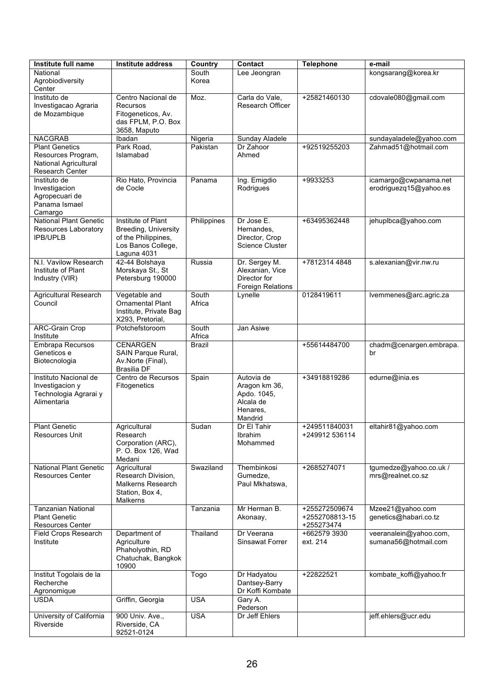| Institute full name                                                                     | <b>Institute address</b>                                                                               | Country         | Contact                                                                        | <b>Telephone</b>                              | e-mail                                          |
|-----------------------------------------------------------------------------------------|--------------------------------------------------------------------------------------------------------|-----------------|--------------------------------------------------------------------------------|-----------------------------------------------|-------------------------------------------------|
| National<br>Agrobiodiversity<br>Center                                                  |                                                                                                        | South<br>Korea  | Lee Jeongran                                                                   |                                               | kongsarang@korea.kr                             |
| Instituto de<br>Investigacao Agraria<br>de Mozambique                                   | Centro Nacional de<br>Recursos<br>Fitogeneticos, Av.<br>das FPLM, P.O. Box<br>3658, Maputo             | Moz.            | Carla do Vale,<br>Research Officer                                             | +25821460130                                  | cdovale080@gmail.com                            |
| <b>NACGRAB</b>                                                                          | Ibadan                                                                                                 | Nigeria         | <b>Sunday Aladele</b>                                                          |                                               | sundayaladele@yahoo.com                         |
| <b>Plant Genetics</b><br>Resources Program,<br>National Agricultural<br>Research Center | Park Road,<br>Islamabad                                                                                | Pakistan        | Dr Zahoor<br>Ahmed                                                             | +92519255203                                  | Zahmad51@hotmail.com                            |
| Instituto de<br>Investigacion<br>Agropecuari de<br>Panama Ismael<br>Camargo             | Rio Hato, Provincia<br>de Cocle                                                                        | Panama          | Ing. Emigdio<br>Rodrigues                                                      | +9933253                                      | icamargo@cwpanama.net<br>erodriguezq15@yahoo.es |
| <b>National Plant Genetic</b><br>Resources Laboratory<br><b>IPB/UPLB</b>                | Institute of Plant<br>Breeding, University<br>of the Philippines,<br>Los Banos College,<br>Laguna 4031 | Philippines     | Dr Jose E.<br>Hernandes,<br>Director, Crop<br>Science Cluster                  | +63495362448                                  | jehuplbca@yahoo.com                             |
| N.I. Vavilow Research<br>Institute of Plant<br>Industry (VIR)                           | 42-44 Bolshaya<br>Morskaya St., St<br>Petersburg 190000                                                | Russia          | Dr. Sergey M.<br>Alexanian, Vice<br>Director for<br>Foreign Relations          | +7812314 4848                                 | s.alexanian@vir.nw.ru                           |
| <b>Agricultural Research</b><br>Council                                                 | Vegetable and<br><b>Ornamental Plant</b><br>Institute, Private Bag<br>X293, Pretorial,                 | South<br>Africa | Lynelle                                                                        | 0128419611                                    | Ivemmenes@arc.agric.za                          |
| <b>ARC-Grain Crop</b><br>Institute                                                      | Potchefstoroom                                                                                         | South<br>Africa | Jan Asiwe                                                                      |                                               |                                                 |
| Embrapa Recursos<br>Geneticos e<br>Biotecnologia                                        | <b>CENARGEN</b><br>SAIN Parque Rural,<br>Av.Norte (Final),<br>Brasilia DF                              | <b>Brazil</b>   |                                                                                | +55614484700                                  | chadm@cenargen.embrapa.<br>br                   |
| Instituto Nacional de<br>Investigacion y<br>Technologia Agrarai y<br>Alimentaria        | Centro de Recursos<br>Fitogenetics                                                                     | Spain           | Autovia de<br>Aragon km 36,<br>Apdo. 1045,<br>Alcala de<br>Henares.<br>Mandrid | +34918819286                                  | edurne@inia.es                                  |
| <b>Plant Genetic</b><br>Resources Unit                                                  | Agricultural<br>Research<br>Corporation (ARC),<br>P. O. Box 126, Wad<br>Medani                         | Sudan           | Dr El Tahir<br>Ibrahim<br>Mohammed                                             | +249511840031<br>+249912 536114               | eltahir81@yahoo.com                             |
| <b>National Plant Genetic</b><br><b>Resources Center</b>                                | Agricultural<br>Research Division.<br><b>Malkerns Research</b><br>Station, Box 4,<br>Malkerns          | Swaziland       | Thembinkosi<br>Gumedze,<br>Paul Mkhatswa,                                      | +2685274071                                   | tgumedze@yahoo.co.uk /<br>mrs@realnet.co.sz     |
| <b>Tanzanian National</b><br><b>Plant Genetic</b><br><b>Resources Center</b>            |                                                                                                        | Tanzania        | Mr Herman B.<br>Akonaay,                                                       | +255272509674<br>+2552708813-15<br>+255273474 | Mzee21@yahoo.com<br>genetics@habari.co.tz       |
| Field Crops Research<br>Institute                                                       | Department of<br>Agriculture<br>Phaholyothin, RD<br>Chatuchak, Bangkok<br>10900                        | Thailand        | Dr Veerana<br>Sinsawat Forrer                                                  | +662579 3930<br>ext. 214                      | veeranalein@yahoo.com,<br>sumana56@hotmail.com  |
| Institut Togolais de la<br>Recherche<br>Agronomique                                     |                                                                                                        | Togo            | Dr Hadyatou<br>Dantsey-Barry<br>Dr Koffi Kombate                               | +22822521                                     | kombate_koffi@yahoo.fr                          |
| <b>USDA</b>                                                                             | Griffin, Georgia                                                                                       | <b>USA</b>      | Gary A.<br>Pederson                                                            |                                               |                                                 |
| University of California<br>Riverside                                                   | 900 Univ. Ave.,<br>Riverside, CA<br>92521-0124                                                         | <b>USA</b>      | Dr Jeff Ehlers                                                                 |                                               | jeff.ehlers@ucr.edu                             |